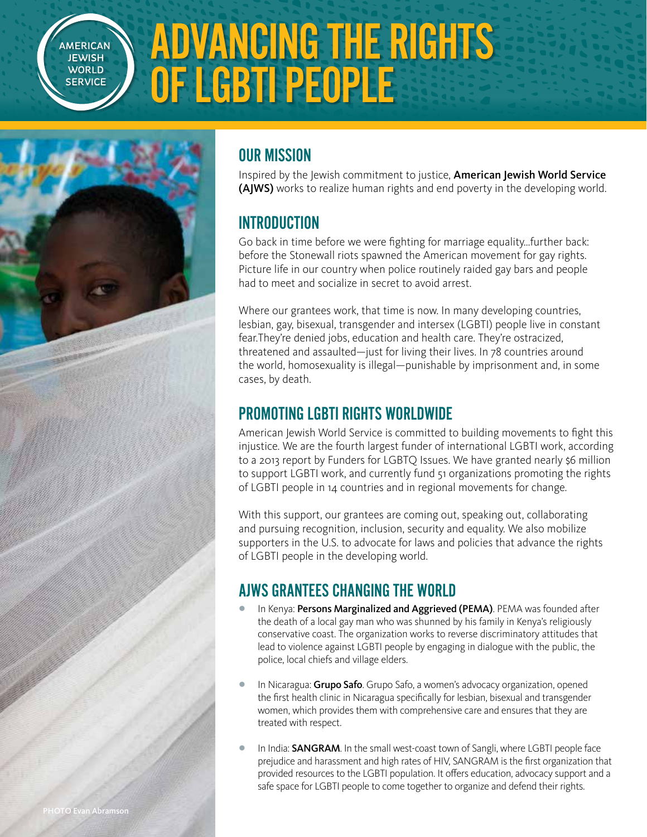**AMERICAN JEWISH WORLD SERVICE** 

# ADVANCING THE RIGHTS OF LGBTI PEOPLE



### OUR MISSION

Inspired by the Jewish commitment to justice, American Jewish World Service (AJWS) works to realize human rights and end poverty in the developing world.

#### INTRODUCTION

Go back in time before we were fighting for marriage equality…further back: before the Stonewall riots spawned the American movement for gay rights. Picture life in our country when police routinely raided gay bars and people had to meet and socialize in secret to avoid arrest.

Where our grantees work, that time is now. In many developing countries, lesbian, gay, bisexual, transgender and intersex (LGBTI) people live in constant fear.They're denied jobs, education and health care. They're ostracized, threatened and assaulted—just for living their lives. In 78 countries around the world, homosexuality is illegal—punishable by imprisonment and, in some cases, by death.

### PROMOTING LGBTI RIGHTS WORLDWIDE

American Jewish World Service is committed to building movements to fight this injustice. We are the fourth largest funder of international LGBTI work, according to a 2013 report by Funders for LGBTQ Issues. We have granted nearly \$6 million to support LGBTI work, and currently fund 51 organizations promoting the rights of LGBTI people in 14 countries and in regional movements for change.

With this support, our grantees are coming out, speaking out, collaborating and pursuing recognition, inclusion, security and equality. We also mobilize supporters in the U.S. to advocate for laws and policies that advance the rights of LGBTI people in the developing world.

## AJWS GRANTEES CHANGING THE WORLD

- In Kenya: Persons Marginalized and Aggrieved (PEMA). PEMA was founded after the death of a local gay man who was shunned by his family in Kenya's religiously conservative coast. The organization works to reverse discriminatory attitudes that lead to violence against LGBTI people by engaging in dialogue with the public, the police, local chiefs and village elders.
- In Nicaragua: Grupo Safo. Grupo Safo, a women's advocacy organization, opened the first health clinic in Nicaragua specifically for lesbian, bisexual and transgender women, which provides them with comprehensive care and ensures that they are treated with respect.
- In India: SANGRAM. In the small west-coast town of Sangli, where LGBTI people face prejudice and harassment and high rates of HIV, SANGRAM is the first organization that provided resources to the LGBTI population. It offers education, advocacy support and a safe space for LGBTI people to come together to organize and defend their rights.